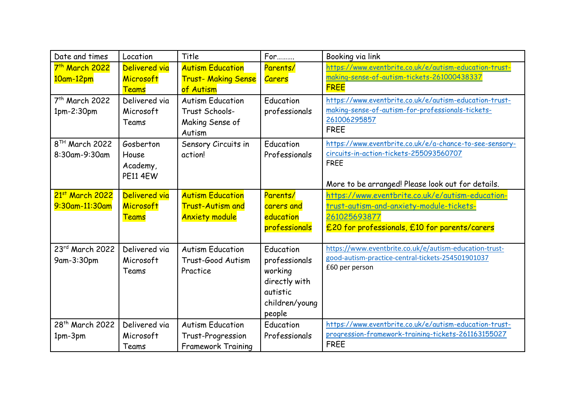| Date and times              | Location        | Title                      | For            | Booking via link                                        |
|-----------------------------|-----------------|----------------------------|----------------|---------------------------------------------------------|
| 7 <sup>th</sup> March 2022  | Delivered via   | <b>Autism Education</b>    | Parents/       | https://www.eventbrite.co.uk/e/autism-education-trust-  |
| 10am-12pm                   | Microsoft       | <b>Trust- Making Sense</b> | <b>Carers</b>  | making-sense-of-autism-tickets-261000438337             |
|                             | <b>Teams</b>    | of Autism                  |                | <b>FREE</b>                                             |
| 7 <sup>th</sup> March 2022  | Delivered via   | <b>Autism Education</b>    | Education      | https://www.eventbrite.co.uk/e/autism-education-trust-  |
| $1pm-2:30pm$                | Microsoft       | Trust Schools-             | professionals  | making-sense-of-autism-for-professionals-tickets-       |
|                             | Teams           | Making Sense of            |                | 261006295857<br><b>FREE</b>                             |
|                             |                 | Autism                     |                |                                                         |
| 8 <sup>TH</sup> March 2022  | Gosberton       | Sensory Circuits in        | Education      | https://www.eventbrite.co.uk/e/a-chance-to-see-sensory- |
| 8:30am-9:30am               | House           | action!                    | Professionals  | circuits-in-action-tickets-255093560707                 |
|                             | Academy,        |                            |                | <b>FREE</b>                                             |
|                             | <b>PE11 4EW</b> |                            |                | More to be arranged! Please look out for details.       |
| 21st March 2022             | Delivered via   | <b>Autism Education</b>    | Parents/       | https://www.eventbrite.co.uk/e/autism-education-        |
| 9:30am-11:30am              | Microsoft       | <b>Trust-Autism and</b>    | carers and     | trust-autism-and-anxiety-module-tickets-                |
|                             | <b>Teams</b>    | <b>Anxiety module</b>      | education      | 261025693877                                            |
|                             |                 |                            | professionals  | £20 for professionals, £10 for parents/carers           |
|                             |                 |                            |                |                                                         |
| 23rd March 2022             | Delivered via   | <b>Autism Education</b>    | Education      | https://www.eventbrite.co.uk/e/autism-education-trust-  |
| 9am-3:30pm                  | Microsoft       | Trust-Good Autism          | professionals  | good-autism-practice-central-tickets-254501901037       |
|                             | Teams           | Practice                   | working        | £60 per person                                          |
|                             |                 |                            | directly with  |                                                         |
|                             |                 |                            | autistic       |                                                         |
|                             |                 |                            | children/young |                                                         |
|                             |                 |                            | people         |                                                         |
| 28 <sup>th</sup> March 2022 | Delivered via   | <b>Autism Education</b>    | Education      | https://www.eventbrite.co.uk/e/autism-education-trust-  |
| 1pm-3pm                     | Microsoft       | Trust-Progression          | Professionals  | progression-framework-training-tickets-261163155027     |
|                             | Teams           | <b>Framework Training</b>  |                | <b>FREE</b>                                             |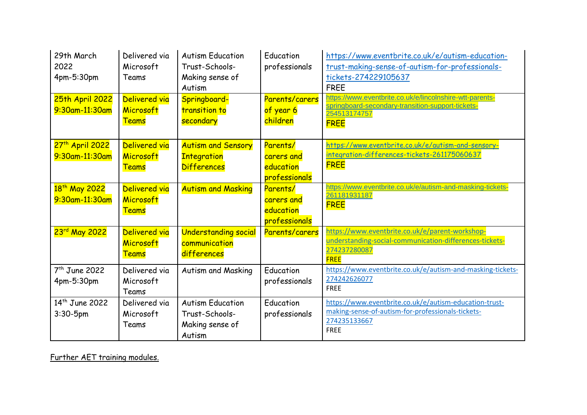| 29th March<br>2022<br>4pm-5:30pm              | Delivered via<br>Microsoft<br>Teams        | <b>Autism Education</b><br>Trust-Schools-<br>Making sense of<br>Autism | Education<br>professionals                           | https://www.eventbrite.co.uk/e/autism-education-<br>trust-making-sense-of-autism-for-professionals-<br>tickets-274229105637<br><b>FREE</b>   |
|-----------------------------------------------|--------------------------------------------|------------------------------------------------------------------------|------------------------------------------------------|----------------------------------------------------------------------------------------------------------------------------------------------|
| 25th April 2022<br>9:30am-11:30am             | Delivered via<br>Microsoft<br><b>Teams</b> | Springboard-<br>transition to<br>secondary                             | Parents/carers<br>of year 6<br>children              | https://www.eventbrite.co.uk/e/lincolnshire-wtt-parents-<br>springboard-secondary-transition-support-tickets-<br>254513174757<br><b>FREE</b> |
| 27 <sup>th</sup> April 2022<br>9:30am-11:30am | Delivered via<br>Microsoft<br><b>Teams</b> | <b>Autism and Sensory</b><br><b>Integration</b><br><b>Differences</b>  | Parents/<br>carers and<br>education<br>professionals | https://www.eventbrite.co.uk/e/autism-and-sensory-<br>integration-differences-tickets-261175060637<br><b>FREE</b>                            |
| 18 <sup>th</sup> May 2022<br>9:30am-11:30am   | Delivered via<br>Microsoft<br><b>Teams</b> | <b>Autism and Masking</b>                                              | Parents/<br>carers and<br>education<br>professionals | https://www.eventbrite.co.uk/e/autism-and-masking-tickets-<br>261181931187<br><b>FREE</b>                                                    |
| 23rd May 2022                                 | Delivered via<br>Microsoft<br><b>Teams</b> | <b>Understanding social</b><br>communication<br>differences            | Parents/carers                                       | https://www.eventbrite.co.uk/e/parent-workshop-<br>understanding-social-communication-differences-tickets-<br>274237280087<br><b>FREE</b>    |
| $7th$ June 2022<br>4pm-5:30pm                 | Delivered via<br>Microsoft<br>Teams        | Autism and Masking                                                     | Education<br>professionals                           | https://www.eventbrite.co.uk/e/autism-and-masking-tickets-<br>274242626077<br><b>FREE</b>                                                    |
| 14 <sup>th</sup> June 2022<br>$3:30 - 5$ pm   | Delivered via<br>Microsoft<br>Teams        | <b>Autism Education</b><br>Trust-Schools-<br>Making sense of<br>Autism | Education<br>professionals                           | https://www.eventbrite.co.uk/e/autism-education-trust-<br>making-sense-of-autism-for-professionals-tickets-<br>274235133667<br><b>FREE</b>   |

Further AET training modules.